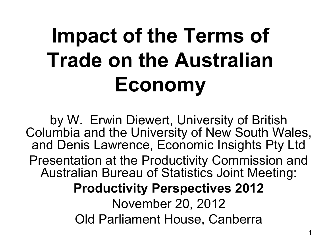# **Impact of the Terms of Trade on the Australian Economy**

by W. Erwin Diewert, University of British Columbia and the University of New South Wales, and Denis Lawrence, Economic Insights Pty Ltd Presentation at the Productivity Commission and Australian Bureau of Statistics Joint Meeting: **Productivity Perspectives 2012** November 20, 2012 Old Parliament House, Canberra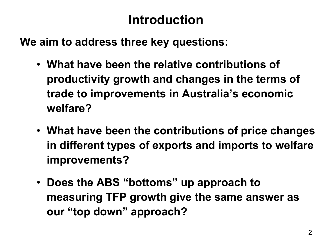#### **Introduction**

**We aim to address three key questions:**

- **What have been the relative contributions of productivity growth and changes in the terms of trade to improvements in Australia's economic welfare?**
- **What have been the contributions of price changes in different types of exports and imports to welfare improvements?**
- **Does the ABS "bottoms" up approach to measuring TFP growth give the same answer as our "top down" approach?**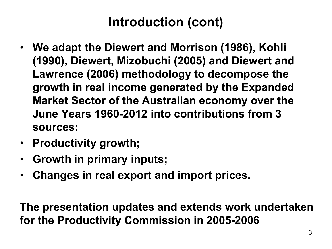#### **Introduction (cont)**

- **We adapt the Diewert and Morrison (1986), Kohli (1990), Diewert, Mizobuchi (2005) and Diewert and Lawrence (2006) methodology to decompose the growth in real income generated by the Expanded Market Sector of the Australian economy over the June Years 1960-2012 into contributions from 3 sources:**
- **Productivity growth;**
- **Growth in primary inputs;**
- **Changes in real export and import prices.**

**The presentation updates and extends work undertaken for the Productivity Commission in 2005-2006**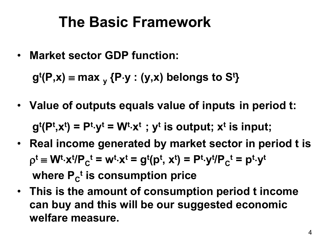### **The Basic Framework**

• **Market sector GDP function:**

 **gt (P,x)** ≡ **max y {P**⋅**y : (y,x) belongs to St }**

- **Value of outputs equals value of inputs in period t:**  $g^t(P^t, x^t) = P^t \cdot y^t = W^t \cdot x^t$ ;  $y^t$  is output;  $x^t$  is input;
- **Real income generated by market sector in period t is**  $\rho^t \equiv W^t \cdot x^t / P_C^t = w^t \cdot x^t = g^t(p^t, x^t) = P^t \cdot y^t / P_C^t = p^t \cdot y^t$ where P<sub>c</sub><sup>t</sup> is consumption price
- **This is the amount of consumption period t income can buy and this will be our suggested economic welfare measure.**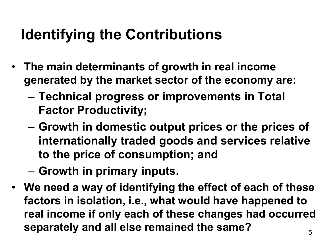## **Identifying the Contributions**

- **The main determinants of growth in real income generated by the market sector of the economy are:**
	- **Technical progress or improvements in Total Factor Productivity;**
	- **Growth in domestic output prices or the prices of internationally traded goods and services relative to the price of consumption; and**
	- **Growth in primary inputs.**
- **We need a way of identifying the effect of each of these factors in isolation, i.e., what would have happened to real income if only each of these changes had occurred separately and all else remained the same?**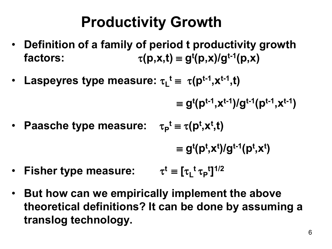## **Productivity Growth**

- **Definition of a family of period t productivity growth**   $\tau(p,x,t) = g^t(p,x)/g^{t-1}(p,x)$
- Laspeyres type measure:  $\tau_L^t \equiv \tau(p^{t-1}, x^{t-1}, t)$

$$
\equiv g^{t}(p^{t-1},x^{t-1})/g^{t-1}(p^{t-1},x^{t-1})
$$

• Paasche type measure:  $\tau_{\mathsf{P}}^{\mathsf{t}} \equiv \tau(\mathsf{p}^{\mathsf{t}}, \mathsf{x}^{\mathsf{t}}, \mathsf{t})$ 

$$
\equiv g^{t}(p^{t}, x^{t})/g^{t-1}(p^{t}, x^{t})
$$

- Fisher type measure:  $\tau^t \equiv [\tau_L^t \tau_P^t]^{1/2}$
- **But how can we empirically implement the above theoretical definitions? It can be done by assuming a translog technology.**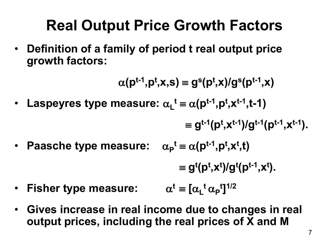## **Real Output Price Growth Factors**

• **Definition of a family of period t real output price growth factors:**

$$
\alpha(p^{t-1},p^t,x,s) \equiv g^s(p^t,x)/g^s(p^{t-1},x)
$$

• Laspeyres type measure:  $\alpha_L^t \equiv \alpha(\mathsf{p}^{t-1}, \mathsf{p}^t, \mathsf{x}^{t-1}, t-1)$ 

$$
\equiv g^{t-1}(p^t, x^{t-1})/g^{t-1}(p^{t-1}, x^{t-1}).
$$

• Paasche type measure:  $\alpha_{p}^{t} \equiv \alpha(p^{t-1}, p^{t}, x^{t}, t)$ 

$$
\equiv g^{t}(p^{t}, x^{t})/g^{t}(p^{t-1}, x^{t}).
$$

- Fisher type measure:  $^{\rm t}$   $\alpha$ <sub>P</sub><sup>t</sup>]<sup>1/2</sup>
- **Gives increase in real income due to changes in real output prices, including the real prices of X and M**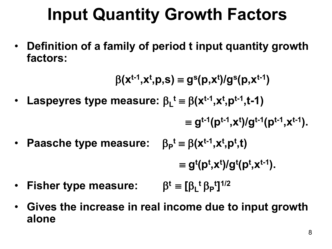## **Input Quantity Growth Factors**

• **Definition of a family of period t input quantity growth factors:**

$$
\beta(\mathbf{x}^{\mathrm{t-1}}, \mathbf{x}^{\mathrm{t}}, \mathbf{p}, \mathbf{s}) \equiv g^{\mathrm{s}}(\mathbf{p}, \mathbf{x}^{\mathrm{t}})/g^{\mathrm{s}}(\mathbf{p}, \mathbf{x}^{\mathrm{t-1}})
$$

- Laspeyres type measure:  $β<sub>L</sub><sup>t</sup> ≡ β(x<sup>t-1</sup>,x<sup>t</sup>,p<sup>t-1</sup>,t-1)$
- $\equiv g^{t-1}(p^{t-1},x^t)/g^{t-1}(p^{t-1},x^{t-1}).$
- Paasche type measure:  $\beta_P^t \equiv \beta(x^{t-1}, x^t, p^t, t)$

$$
\equiv g^{t}(p^{t}, x^{t})/g^{t}(p^{t}, x^{t-1}).
$$

- **Fisher type measure:** β**t** ≡ **[**β**<sup>L</sup> <sup>t</sup>**β**<sup>P</sup> t ]1/2**
- **Gives the increase in real income due to input growth alone**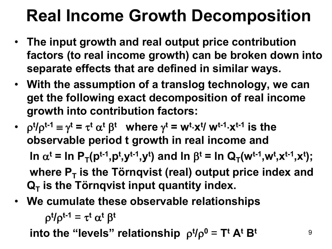## **Real Income Growth Decomposition**

- **The input growth and real output price contribution factors (to real income growth) can be broken down into separate effects that are defined in similar ways.**
- **With the assumption of a translog technology, we can get the following exact decomposition of real income growth into contribution factors:**
- $\rho^{t}/\rho^{t-1} \equiv \gamma^{t} = \tau^{t} \alpha^{t} \beta^{t}$  where  $\gamma^{t} = w^{t} \cdot x^{t} / w^{t-1} \cdot x^{t-1}$  is the **observable period t growth in real income and ln**  $\alpha^t$  = ln P<sub>T</sub>(p<sup>t-1</sup>,p<sup>t</sup>,y<sup>t-1</sup>,y<sup>t</sup>) and ln β<sup>t</sup> = ln Q<sub>T</sub>(w<sup>t-1</sup>,w<sup>t</sup>,x<sup>t-1</sup>,x<sup>t</sup>); where P<sub>T</sub> is the Törnqvist (real) output price index and  $Q_T$  is the Törnqvist input quantity index.
- **We cumulate these observable relationships**

ρ**<sup>t</sup> /**ρ**t-1** = τ**<sup>t</sup>** α**<sup>t</sup>** β**<sup>t</sup>**

 **into the "levels" relationship** ρ**<sup>t</sup> /**ρ**<sup>0</sup>** = **Tt At Bt**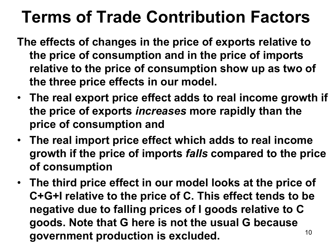## **Terms of Trade Contribution Factors**

- **The effects of changes in the price of exports relative to the price of consumption and in the price of imports relative to the price of consumption show up as two of the three price effects in our model.**
- **The real export price effect adds to real income growth if the price of exports** *increases* **more rapidly than the price of consumption and**
- **The real import price effect which adds to real income growth if the price of imports** *falls* **compared to the price of consumption**
- 10 • **The third price effect in our model looks at the price of C+G+I relative to the price of C. This effect tends to be negative due to falling prices of I goods relative to C goods. Note that G here is not the usual G because government production is excluded.**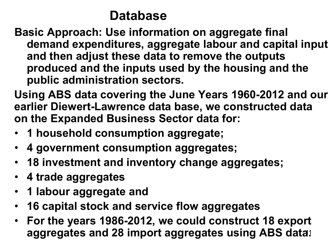#### **Database**

- **Basic Approach: Use information on aggregate final demand expenditures, aggregate labour and capital input and then adjust these data to remove the outputs produced and the inputs used by the housing and the public administration sectors.**
- **Using ABS data covering the June Years 1960-2012 and our earlier Diewert-Lawrence data base, we constructed data on the Expanded Business Sector data for:**
- **1 household consumption aggregate;**
- **4 government consumption aggregates;**
- **18 investment and inventory change aggregates;**
- **4 trade aggregates**
- **1 labour aggregate and**
- **16 capital stock and service flow aggregates**
- aggregates and 28 import aggregates using ABS data**:** • **For the years 1986-2012, we could construct 18 export**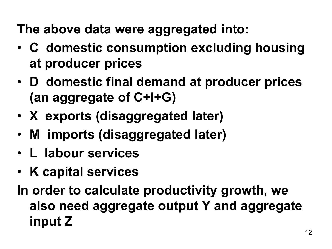**The above data were aggregated into:**

- **C domestic consumption excluding housing at producer prices**
- **D domestic final demand at producer prices (an aggregate of C+I+G)**
- **X exports (disaggregated later)**
- **M imports (disaggregated later)**
- **L labour services**
- **K capital services**
- **In order to calculate productivity growth, we also need aggregate output Y and aggregate input Z**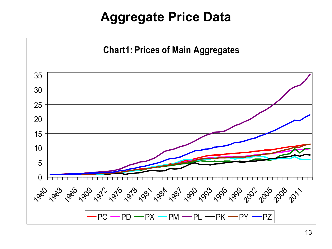#### **Aggregate Price Data**

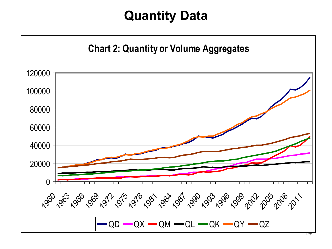#### **Quantity Data**

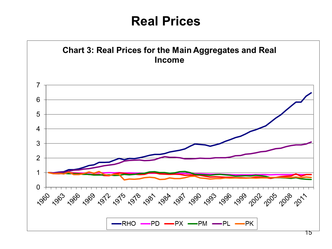#### **Real Prices**

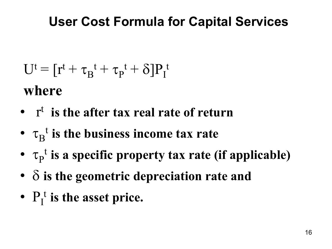#### **User Cost Formula for Capital Services**

- $U^t = [r^t + \tau_B^t + \tau_P^t + \delta]P_I^t$ **where**
- rt **is the after tax real rate of return**
- $\tau_B^t$  is the business income tax rate
- $\tau_{P}^{\dagger}$  is a specific property tax rate (if applicable)
- δ **is the geometric depreciation rate and**
- $P_I^t$  is the asset price.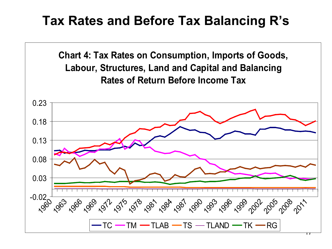#### **Tax Rates and Before Tax Balancing R's**

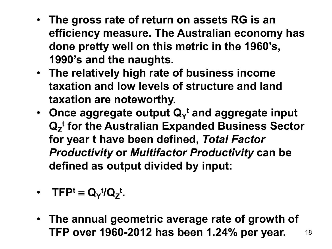- **The gross rate of return on assets RG is an efficiency measure. The Australian economy has done pretty well on this metric in the 1960's, 1990's and the naughts.**
- **The relatively high rate of business income taxation and low levels of structure and land taxation are noteworthy.**
- Once aggregate output Q<sub>Y</sub><sup>t</sup> and aggregate input **Q<sub>z</sub><sup>t</sup> for the Australian Expanded Business Sector for year t have been defined,** *Total Factor Productivity* **or** *Multifactor Productivity* **can be defined as output divided by input:**
- $\bullet$  **TFP<sup>t</sup>** ≡ **Q**<sub>γ</sub><sup>t</sup>/**Q**<sub>Z</sub><sup>t</sup>.
- 18 • **The annual geometric average rate of growth of TFP over 1960-2012 has been 1.24% per year.**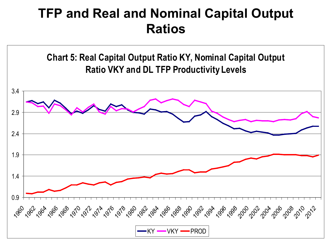#### **TFP and Real and Nominal Capital Output Ratios**

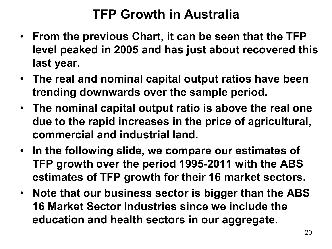#### **TFP Growth in Australia**

- **From the previous Chart, it can be seen that the TFP level peaked in 2005 and has just about recovered this last year.**
- **The real and nominal capital output ratios have been trending downwards over the sample period.**
- **The nominal capital output ratio is above the real one due to the rapid increases in the price of agricultural, commercial and industrial land.**
- **In the following slide, we compare our estimates of TFP growth over the period 1995-2011 with the ABS estimates of TFP growth for their 16 market sectors.**
- **Note that our business sector is bigger than the ABS 16 Market Sector Industries since we include the education and health sectors in our aggregate.**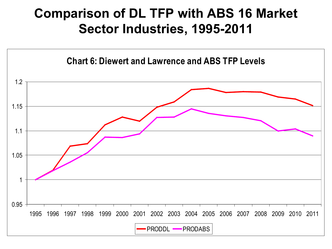#### **Comparison of DL TFP with ABS 16 Market Sector Industries, 1995-2011**

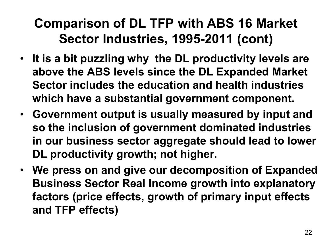#### **Comparison of DL TFP with ABS 16 Market Sector Industries, 1995-2011 (cont)**

- **It is a bit puzzling why the DL productivity levels are above the ABS levels since the DL Expanded Market Sector includes the education and health industries which have a substantial government component.**
- **Government output is usually measured by input and so the inclusion of government dominated industries in our business sector aggregate should lead to lower DL productivity growth; not higher.**
- **We press on and give our decomposition of Expanded Business Sector Real Income growth into explanatory factors (price effects, growth of primary input effects and TFP effects)**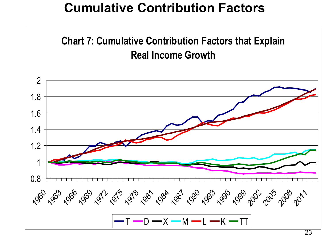#### **Cumulative Contribution Factors**

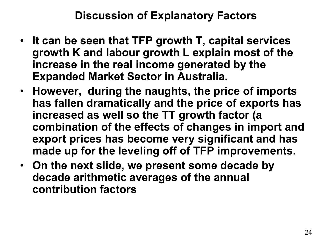#### **Discussion of Explanatory Factors**

- **It can be seen that TFP growth T, capital services growth K and labour growth L explain most of the increase in the real income generated by the Expanded Market Sector in Australia.**
- **However, during the naughts, the price of imports has fallen dramatically and the price of exports has increased as well so the TT growth factor (a combination of the effects of changes in import and export prices has become very significant and has made up for the leveling off of TFP improvements.**
- **On the next slide, we present some decade by decade arithmetic averages of the annual contribution factors**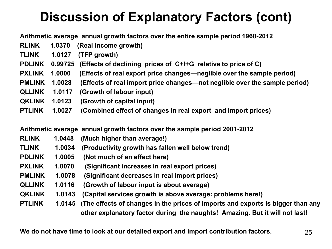#### **Discussion of Explanatory Factors (cont)**

**Arithmetic average annual growth factors over the entire sample period 1960-2012**

**RLINK 1.0370 (Real income growth) TLINK 1.0127 (TFP growth) PDLINK 0.99725 (Effects of declining prices of C+I+G relative to price of C) PXLINK 1.0000 (Effects of real export price changes—neglible over the sample period) PMLINK 1.0028 (Effects of real import price changes—not neglible over the sample period) QLLINK 1.0117 (Growth of labour input) QKLINK 1.0123 (Growth of capital input) PTLINK 1.0027 (Combined effect of changes in real export and import prices)**

**Arithmetic average annual growth factors over the sample period 2001-2012**

| <b>RLINK</b>  | 1.0448 | (Much higher than average!)                                                            |
|---------------|--------|----------------------------------------------------------------------------------------|
| <b>TLINK</b>  | 1.0034 | (Productivity growth has fallen well below trend)                                      |
| <b>PDLINK</b> | 1.0005 | (Not much of an effect here)                                                           |
| <b>PXLINK</b> | 1.0070 | (Significant increases in real export prices)                                          |
| <b>PMLINK</b> | 1.0078 | (Significant decreases in real import prices)                                          |
| <b>QLLINK</b> | 1.0116 | (Growth of labour input is about average)                                              |
| <b>QKLINK</b> | 1.0143 | (Capital services growth is above average: problems here!)                             |
| <b>PTLINK</b> |        | 1.0145 (The effects of changes in the prices of imports and exports is bigger than any |
|               |        | other explanatory factor during the naughts! Amazing. But it will not last!            |

**We do not have time to look at our detailed export and import contribution factors.** 25